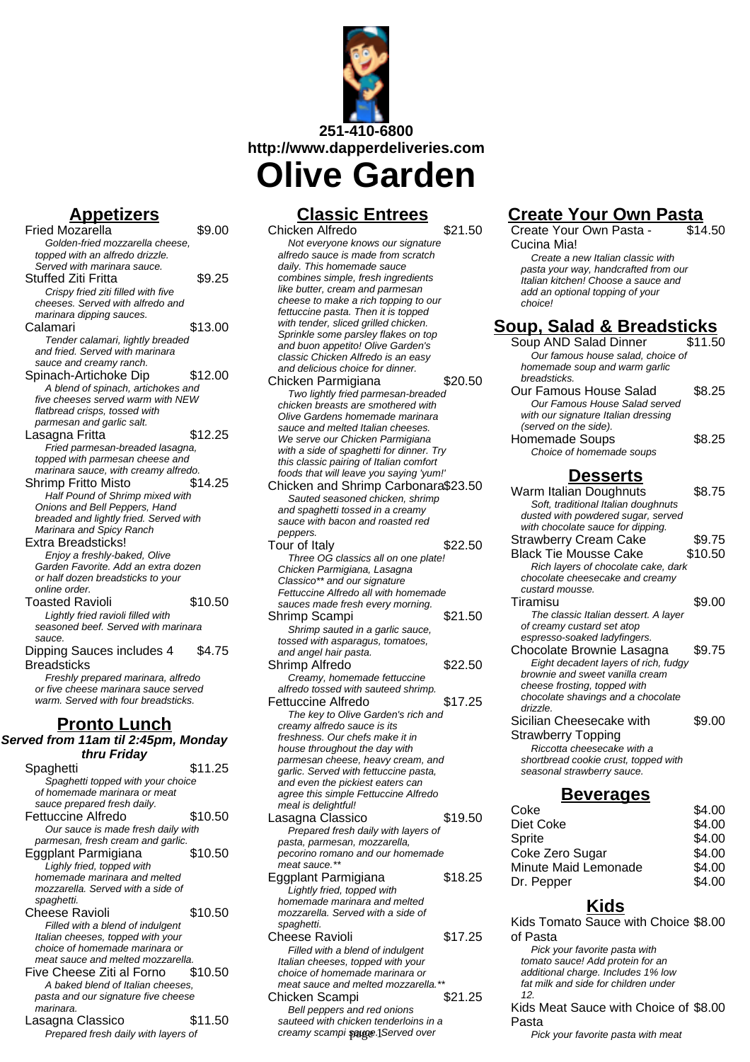

## **Appetizers**

- Fried Mozarella \$9.00 Golden-fried mozzarella cheese, topped with an alfredo drizzle. Served with marinara sauce. Stuffed Ziti Fritta **\$9.25** Crispy fried ziti filled with five cheeses. Served with alfredo and marinara dipping sauces.  $Calamari$   $$13.00$ Tender calamari, lightly breaded and fried. Served with marinara sauce and creamy ranch. Spinach-Artichoke Dip \$12.00 A blend of spinach, artichokes and five cheeses served warm with NEW flatbread crisps, tossed with parmesan and garlic salt. Lasagna Fritta **\$12.25** Fried parmesan-breaded lasagna, topped with parmesan cheese and marinara sauce, with creamy alfredo. Shrimp Fritto Misto \$14.25 Half Pound of Shrimp mixed with Onions and Bell Peppers, Hand breaded and lightly fried. Served with Marinara and Spicy Ranch Extra Breadsticks! Enjoy a freshly-baked, Olive Garden Favorite. Add an extra dozen or half dozen breadsticks to your online order. Toasted Ravioli \$10.50 Lightly fried ravioli filled with seasoned beef. Served with marinara sauce. Dipping Sauces includes 4 **Breadsticks** \$4.75 Freshly prepared marinara, alfredo or five cheese marinara sauce served warm. Served with four breadsticks. **Pronto Lunch Served from 11am til 2:45pm, Monday thru Friday** Spaghetti \$11.25 Spaghetti topped with your choice of homemade marinara or meat sauce prepared fresh daily. Fettuccine Alfredo \$10.50 Our sauce is made fresh daily with parmesan, fresh cream and garlic. Eggplant Parmigiana \$10.50 Lighly fried, topped with homemade marinara and melted mozzarella. Served with a side of spaghetti. Cheese Ravioli **\$10.50** Filled with a blend of indulgent Italian cheeses, topped with your choice of homemade marinara or meat sauce and melted mozzarella.
	- Five Cheese Ziti al Forno \$10.50 A baked blend of Italian cheeses, pasta and our signature five cheese marinara.
	- Lasagna Classico \$11.50 Prepared fresh daily with layers of

### **Classic Entrees**

Chicken Alfredo \$21.50 Not everyone knows our signature alfredo sauce is made from scratch daily. This homemade sauce combines simple, fresh ingredients like butter, cream and parmesan cheese to make a rich topping to our fettuccine pasta. Then it is topped with tender, sliced grilled chicken. Sprinkle some parsley flakes on top and buon appetito! Olive Garden's classic Chicken Alfredo is an easy and delicious choice for dinner. Chicken Parmigiana  $$20.50$ Two lightly fried parmesan-breaded chicken breasts are smothered with Olive Gardens homemade marinara sauce and melted Italian cheeses. We serve our Chicken Parmigiana with a side of spaghetti for dinner. Try this classic pairing of Italian comfort foods that will leave you saying 'yum!' Chicken and Shrimp Carbonara\$23.50 Sauted seasoned chicken, shrimp and spaghetti tossed in a creamy sauce with bacon and roasted red peppers. Tour of Italy \$22.50 Three OG classics all on one plate! Chicken Parmigiana, Lasagna Classico\*\* and our signature Fettuccine Alfredo all with homemade sauces made fresh every morning. Shrimp Scampi  $$21.50$ Shrimp sauted in a garlic sauce, tossed with asparagus, tomatoes, and angel hair pasta. Shrimp Alfredo  $$22.50$ Creamy, homemade fettuccine alfredo tossed with sauteed shrimp. Fettuccine Alfredo  $$17.25$ The key to Olive Garden's rich and creamy alfredo sauce is its freshness. Our chefs make it in house throughout the day with parmesan cheese, heavy cream, and garlic. Served with fettuccine pasta, and even the pickiest eaters can agree this simple Fettuccine Alfredo meal is delightful! Lasagna Classico  $$19.50$ Prepared fresh daily with layers of pasta, parmesan, mozzarella, pecorino romano and our homemade meat sauce.\*\* Eggplant Parmigiana  $$18.25$ Lightly fried, topped with homemade marinara and melted mozzarella. Served with a side of spaghetti. Cheese Ravioli **\$17.25** Filled with a blend of indulgent Italian cheeses, topped with your choice of homemade marinara or meat sauce and melted mozzarella.\*\* Chicken Scampi  $$21.25$ Bell peppers and red onions

sauteed with chicken tenderloins in a creamy scampi sauce. Served over

#### chocolate shavings and a chocolate drizzle. Sicilian Cheesecake with

Strawberry Topping Riccotta cheesecake with a shortbread cookie crust, topped with seasonal strawberry sauce.

of creamy custard set atop espresso-soaked ladyfingers.

### **Beverages**

**Create Your Own Pasta**

Create a new Italian classic with pasta your way, handcrafted from our Italian kitchen! Choose a sauce and add an optional topping of your

**Soup, Salad & Breadsticks** Soup AND Salad Dinner \$11.50 Our famous house salad, choice of homemade soup and warm garlic

Our Famous House Salad \$8.25 Our Famous House Salad served with our signature Italian dressing

Homemade Soups **\$8.25** 

Strawberry Cream Cake \$9.75 Black Tie Mousse Cake \$10.50 Rich layers of chocolate cake, dark chocolate cheesecake and creamy

Tiramisu \$9.00 The classic Italian dessert. A layer

Chocolate Brownie Lasagna \$9.75 Eight decadent layers of rich, fudgy brownie and sweet vanilla cream cheese frosting, topped with

Choice of homemade soups

**Desserts** Warm Italian Doughnuts \$8.75 Soft, traditional Italian doughnuts dusted with powdered sugar, served with chocolate sauce for dipping.

 $\overline{$14.50}$ 

\$9.00

Create Your Own Pasta -

Cucina Mia!

choice!

breadsticks.

(served on the side).

custard mousse.

| Coke                 | \$4.00 |
|----------------------|--------|
| Diet Coke            | \$4.00 |
| Sprite               | \$4.00 |
| Coke Zero Sugar      | \$4.00 |
| Minute Maid Lemonade | \$4.00 |
| Dr. Pepper           | \$4.00 |
|                      |        |

# **Kids**

Kids Tomato Sauce with Choice \$8.00 of Pasta Pick your favorite pasta with tomato sauce! Add protein for an additional charge. Includes 1% low fat milk and side for children under 12.

Kids Meat Sauce with Choice of \$8.00 Pasta

Pick your favorite pasta with meat